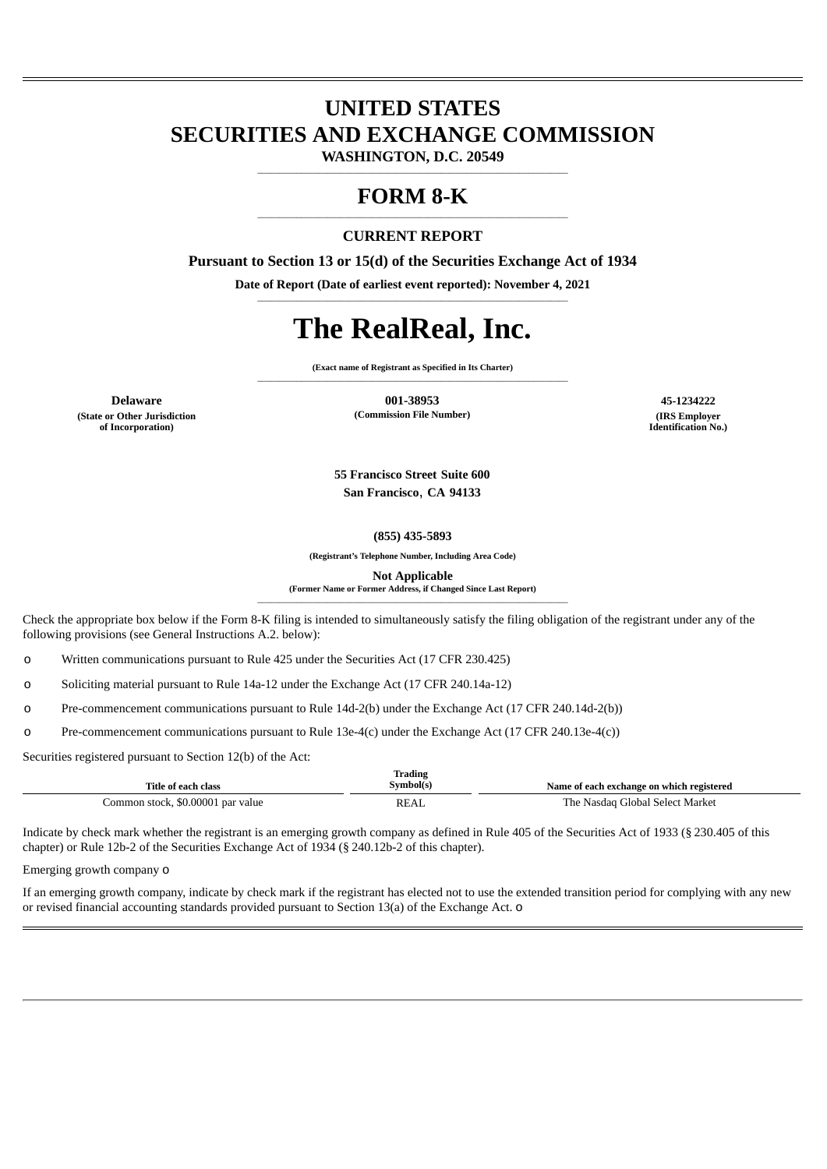# **UNITED STATES SECURITIES AND EXCHANGE COMMISSION**

**WASHINGTON, D.C. 20549** \_\_\_\_\_\_\_\_\_\_\_\_\_\_\_\_\_\_\_\_\_\_\_\_\_\_\_\_\_\_\_\_\_\_\_\_\_\_\_\_\_\_\_\_\_\_\_\_\_\_\_\_\_\_\_\_\_\_\_\_\_\_\_\_\_\_\_\_\_\_\_

#### **FORM 8-K** \_\_\_\_\_\_\_\_\_\_\_\_\_\_\_\_\_\_\_\_\_\_\_\_\_\_\_\_\_\_\_\_\_\_\_\_\_\_\_\_\_\_\_\_\_\_\_\_\_\_\_\_\_\_\_\_\_\_\_\_\_\_\_\_\_\_\_\_\_\_\_

# **CURRENT REPORT**

**Pursuant to Section 13 or 15(d) of the Securities Exchange Act of 1934**

**Date of Report (Date of earliest event reported): November 4, 2021** \_\_\_\_\_\_\_\_\_\_\_\_\_\_\_\_\_\_\_\_\_\_\_\_\_\_\_\_\_\_\_\_\_\_\_\_\_\_\_\_\_\_\_\_\_\_\_\_\_\_\_\_\_\_\_\_\_\_\_\_\_\_\_\_\_\_\_\_\_\_\_

# **The RealReal, Inc.**

**(Exact name of Registrant as Specified in Its Charter)** \_\_\_\_\_\_\_\_\_\_\_\_\_\_\_\_\_\_\_\_\_\_\_\_\_\_\_\_\_\_\_\_\_\_\_\_\_\_\_\_\_\_\_\_\_\_\_\_\_\_\_\_\_\_\_\_\_\_\_\_\_\_\_\_\_\_\_\_\_\_\_

**Delaware 001-38953 45-1234222 (State or Other Jurisdiction of Incorporation)**

**(Commission File Number) (IRS Employer Identification No.)**

**55 Francisco Street Suite 600 San Francisco**, **CA 94133**

**(855) 435-5893**

**(Registrant's Telephone Number, Including Area Code)**

**Not Applicable**

**(Former Name or Former Address, if Changed Since Last Report)** \_\_\_\_\_\_\_\_\_\_\_\_\_\_\_\_\_\_\_\_\_\_\_\_\_\_\_\_\_\_\_\_\_\_\_\_\_\_\_\_\_\_\_\_\_\_\_\_\_\_\_\_\_\_\_\_\_\_\_\_\_\_\_\_\_\_\_\_\_\_\_

Check the appropriate box below if the Form 8-K filing is intended to simultaneously satisfy the filing obligation of the registrant under any of the following provisions (see General Instructions A.2. below):

o Written communications pursuant to Rule 425 under the Securities Act (17 CFR 230.425)

o Soliciting material pursuant to Rule 14a-12 under the Exchange Act (17 CFR 240.14a-12)

o Pre-commencement communications pursuant to Rule 14d-2(b) under the Exchange Act (17 CFR 240.14d-2(b))

o Pre-commencement communications pursuant to Rule 13e-4(c) under the Exchange Act (17 CFR 240.13e-4(c))

Securities registered pursuant to Section 12(b) of the Act:

| Title of each class               | Trading<br>Symbol(s) | Name of each exchange on which registered |  |  |
|-----------------------------------|----------------------|-------------------------------------------|--|--|
| Common stock, \$0.00001 par value | REAL                 | The Nasdag Global Select Market           |  |  |

Indicate by check mark whether the registrant is an emerging growth company as defined in Rule 405 of the Securities Act of 1933 (§ 230.405 of this chapter) or Rule 12b-2 of the Securities Exchange Act of 1934 (§ 240.12b-2 of this chapter).

Emerging growth company o

If an emerging growth company, indicate by check mark if the registrant has elected not to use the extended transition period for complying with any new or revised financial accounting standards provided pursuant to Section 13(a) of the Exchange Act. o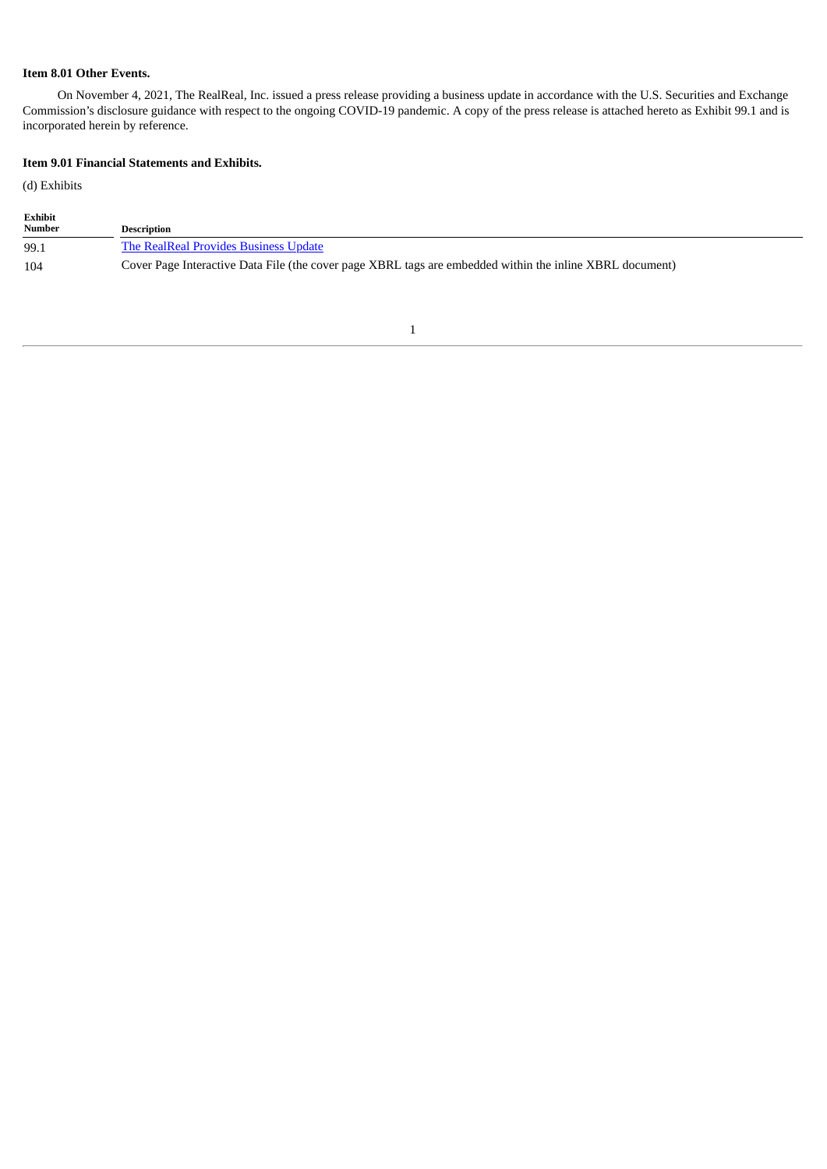# **Item 8.01 Other Events.**

On November 4, 2021, The RealReal, Inc. issued a press release providing a business update in accordance with the U.S. Securities and Exchange Commission's disclosure guidance with respect to the ongoing COVID-19 pandemic. A copy of the press release is attached hereto as Exhibit 99.1 and is incorporated herein by reference.

#### **Item 9.01 Financial Statements and Exhibits.**

(d) Exhibits

| Exhibit<br>Number | Description                                                                                              |
|-------------------|----------------------------------------------------------------------------------------------------------|
| 99.1              | The RealReal Provides Business Update                                                                    |
| 104               | Cover Page Interactive Data File (the cover page XBRL tags are embedded within the inline XBRL document) |

#### 1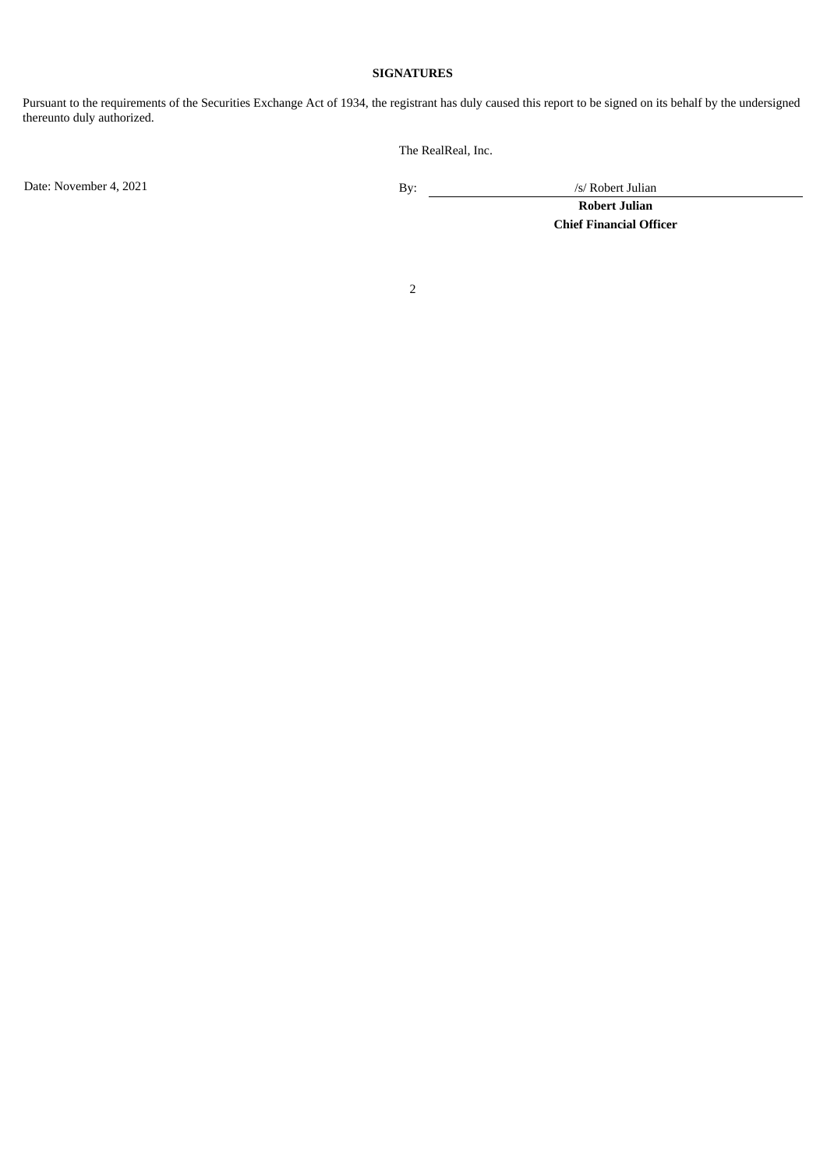# **SIGNATURES**

Pursuant to the requirements of the Securities Exchange Act of 1934, the registrant has duly caused this report to be signed on its behalf by the undersigned thereunto duly authorized.

The RealReal, Inc.

Date: November 4, 2021 By: *by: By: ls/ Robert Julian* 

**Robert Julian Chief Financial Officer**

2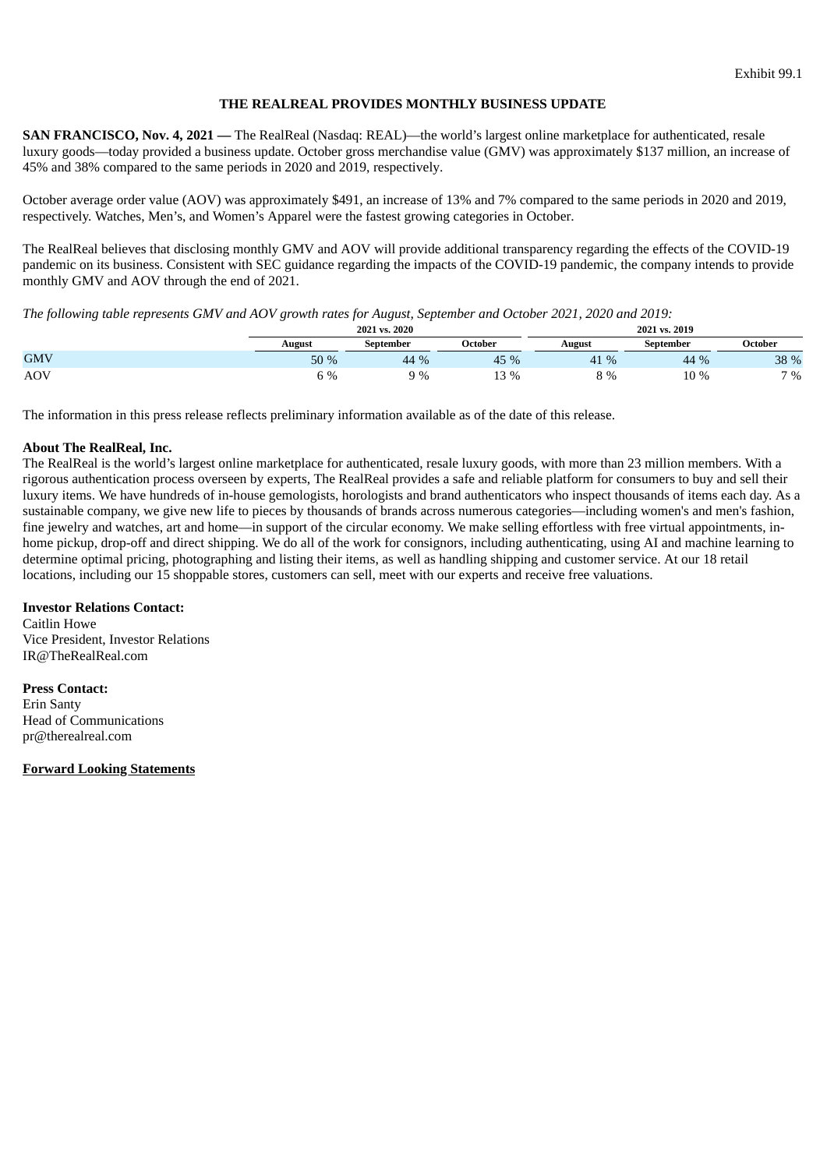# **THE REALREAL PROVIDES MONTHLY BUSINESS UPDATE**

<span id="page-3-0"></span>**SAN FRANCISCO, Nov. 4, 2021 —** The RealReal (Nasdaq: REAL)—the world's largest online marketplace for authenticated, resale luxury goods—today provided a business update. October gross merchandise value (GMV) was approximately \$137 million, an increase of 45% and 38% compared to the same periods in 2020 and 2019, respectively.

October average order value (AOV) was approximately \$491, an increase of 13% and 7% compared to the same periods in 2020 and 2019, respectively. Watches, Men's, and Women's Apparel were the fastest growing categories in October.

The RealReal believes that disclosing monthly GMV and AOV will provide additional transparency regarding the effects of the COVID-19 pandemic on its business. Consistent with SEC guidance regarding the impacts of the COVID-19 pandemic, the company intends to provide monthly GMV and AOV through the end of 2021.

The following table represents GMV and AOV growth rates for August, September and October 2021, 2020 and 2019:

|            | 2021 vs. 2020 |           |                | 2021 vs. 2019 |                  |         |
|------------|---------------|-----------|----------------|---------------|------------------|---------|
|            | August        | September | <b>October</b> | August        | <b>September</b> | October |
| <b>GMV</b> | 50 %          | 44 %      | 45 %           | 41 %          | 44 %             | 38 %    |
| AOV        | $5\%$         | 9%        | 13 %           | 8 %           | 10 %             | 7 %     |

The information in this press release reflects preliminary information available as of the date of this release.

# **About The RealReal, Inc.**

The RealReal is the world's largest online marketplace for authenticated, resale luxury goods, with more than 23 million members. With a rigorous authentication process overseen by experts, The RealReal provides a safe and reliable platform for consumers to buy and sell their luxury items. We have hundreds of in-house gemologists, horologists and brand authenticators who inspect thousands of items each day. As a sustainable company, we give new life to pieces by thousands of brands across numerous categories—including women's and men's fashion, fine jewelry and watches, art and home—in support of the circular economy. We make selling effortless with free virtual appointments, inhome pickup, drop-off and direct shipping. We do all of the work for consignors, including authenticating, using AI and machine learning to determine optimal pricing, photographing and listing their items, as well as handling shipping and customer service. At our 18 retail locations, including our 15 shoppable stores, customers can sell, meet with our experts and receive free valuations.

# **Investor Relations Contact:**

Caitlin Howe Vice President, Investor Relations IR@TheRealReal.com

# **Press Contact:**

Erin Santy Head of Communications pr@therealreal.com

**Forward Looking Statements**